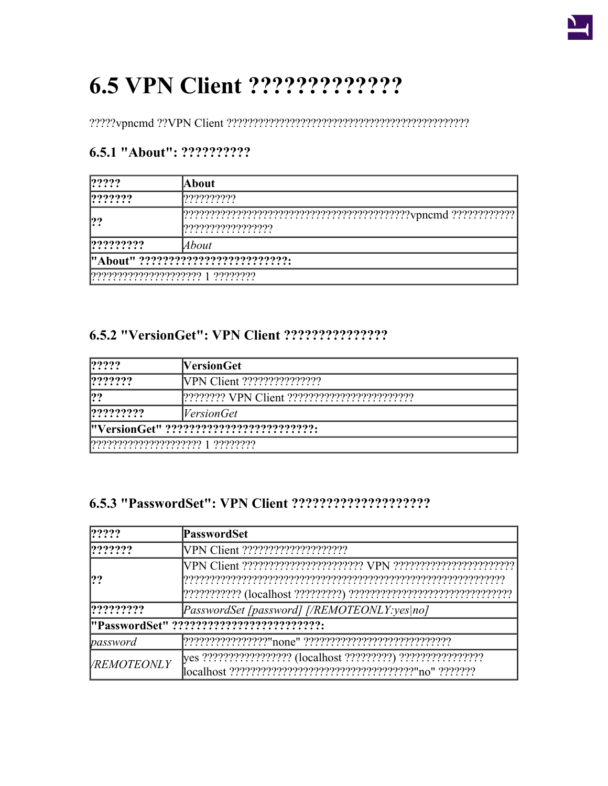| $ ??\rangle?$                                                  | About              |
|----------------------------------------------------------------|--------------------|
| ? ? ? ? ? ?                                                    | [???????????       |
| ??                                                             | ?????????????????? |
| ? ? ? ? ? ? ? ?                                                | About              |
| "About" ???????????????????????????                            |                    |
| $ ? ? ? ? ? ? ? ? ? ? ? ? ? ? ? ? ? ? ?   ? ? ? ? ? ? ? ? ? ?$ |                    |

### 6.5.1 "About": ??????????

### 

| $ ??\$          | <b>NersionGet</b>                        |
|-----------------|------------------------------------------|
| ? ? ? ? ? ?     |                                          |
| ??              |                                          |
| ? ? ? ? ? ? ? ? | <i>VersionGet</i>                        |
|                 | "VersionGet" ??????????????????????????? |
|                 | 1????????????????????? 1 ????????        |

| ? ? ? ?                                  | <b>PasswordSet</b>                           |  |
|------------------------------------------|----------------------------------------------|--|
| ? ? ? ? ? ?                              |                                              |  |
| 22                                       |                                              |  |
| ? ? ? ? ? ? ? ?                          | [PasswordSet [password] [/REMOTEONLY:yes no] |  |
| "PasswordSet" ?????????????????????????? |                                              |  |
| password                                 |                                              |  |
| <b>VREMOTEONLY</b>                       |                                              |  |

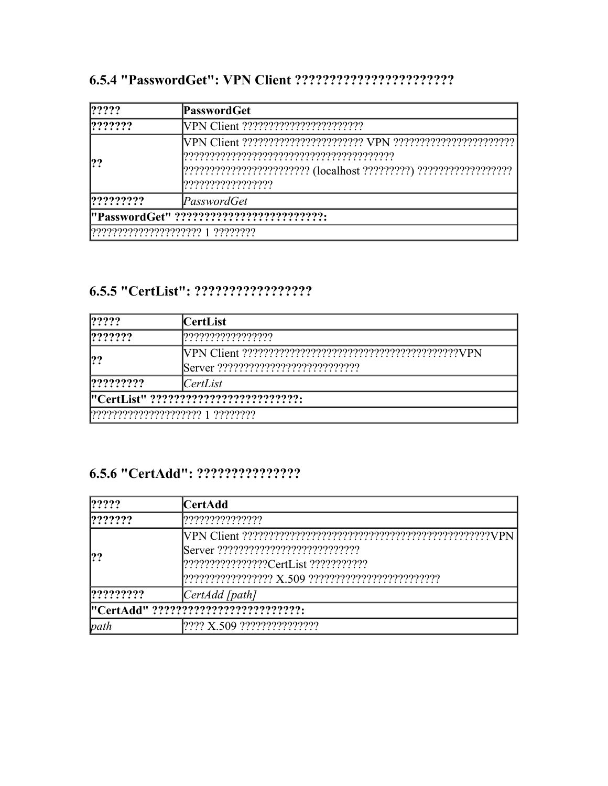| ? ? ? ?         | PasswordGet                              |
|-----------------|------------------------------------------|
| ? ? ? ? ? ?     |                                          |
|                 |                                          |
| ? ? ? ? ? ? ? ? | PasswordGet                              |
|                 | "PasswordGet" ?????????????????????????? |
|                 | 77777777777777777777 1 7777777           |

#### 

| ? ? ? ?                          | CertList                              |
|----------------------------------|---------------------------------------|
| ? ? ? ? ? ?                      | ,,,,,,,,,,,,,,,,,,,                   |
| ??                               |                                       |
| ? ? ? ? ? ? ? ?                  | CertList                              |
|                                  | "CertList" ?????????????????????????? |
| ????????????????????? 1 ???????? |                                       |

| ? ? ? ?         | CertAdd                              |
|-----------------|--------------------------------------|
| ? ? ? ? ? ?     | ,,,,,,,,,,,,,,,,,                    |
|                 |                                      |
| ? ? ? ? ? ? ? ? | [CertAdd [path]                      |
|                 | "CertAdd" ?????????????????????????? |
| path            | 1???? X.509 ????????????????         |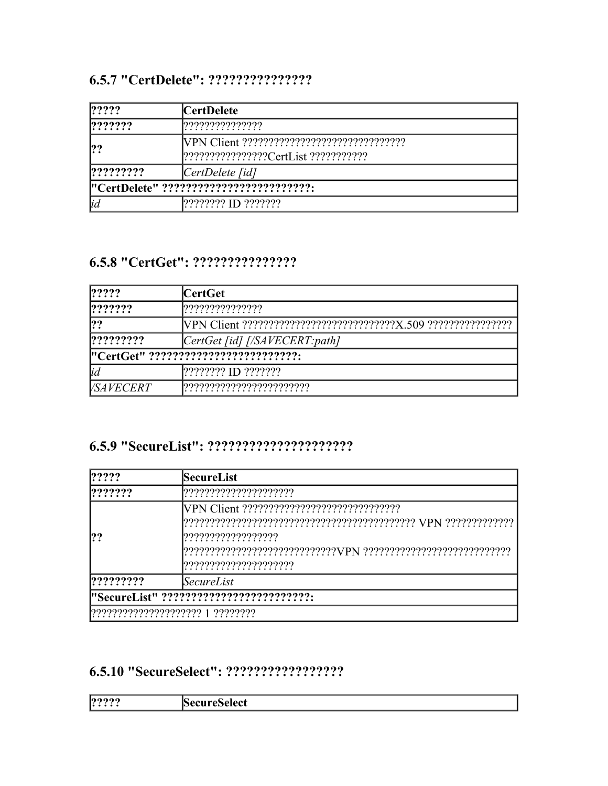| ? ? ? ?                                 | CertDelete          |
|-----------------------------------------|---------------------|
| ? ? ? ? ? ?                             | ,,,,,,,,,,,,,,,,,,  |
| ??                                      |                     |
| ? ? ? ? ? ? ? ?                         | [CertDelete fid]    |
| "CertDelete" ?????????????????????????? |                     |
| <sub>id</sub>                           | 2??????? ID ??????? |

#### 

| ? ? ? ?          | CertGet                               |
|------------------|---------------------------------------|
| ? ? ? ? ? ?      | ,,,,,,,,,,,,,,,,,,                    |
| ??               |                                       |
| ? ? ? ? ? ? ? ?  | CertGet [id] [/SAVECERT:path]         |
|                  | l"CertGet" ?????????????????????????? |
| <sub>lid</sub>   | 2??????? ID ???????                   |
| <i>VSAVECERT</i> |                                       |

#### 

| ? ? ? ?         | <b>SecureList</b>                             |
|-----------------|-----------------------------------------------|
| ? ? ? ? ? ?     | ,,,,,,,,,,,,,,,,,,,,,,,                       |
| 22              | ,,,,,,,,,,,,,,,,,,,,<br>????????????????????? |
| ? ? ? ? ? ? ? ? | SecureList                                    |
|                 | "SecureList" ??????????????????????????       |
|                 |                                               |

| 99999<br>$\cdots$ | $\sim$ $\sim$ $\sim$ |
|-------------------|----------------------|
|                   |                      |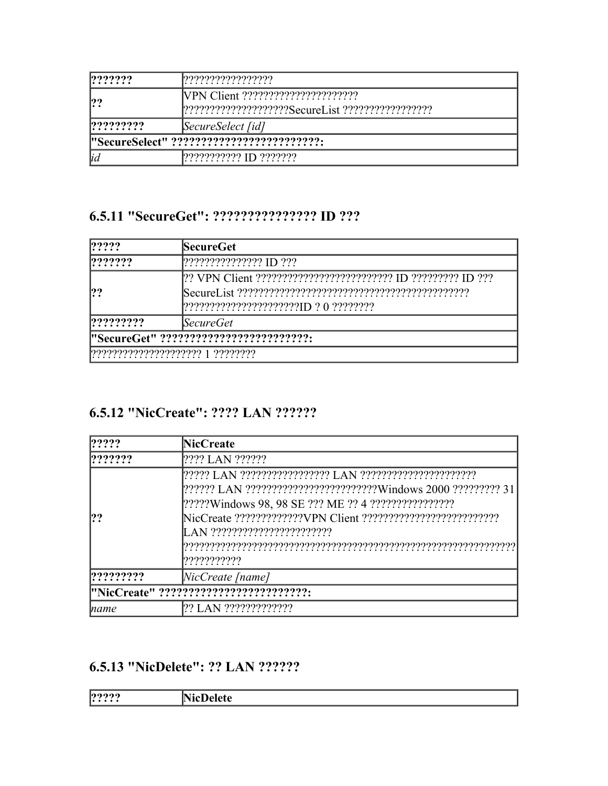| ? ? ? ? ? ?                               | ??????????????????      |
|-------------------------------------------|-------------------------|
| ??                                        |                         |
|                                           |                         |
| ? ? ? ? ? ? ? ?                           | SecureSelect [id]       |
| "SecureSelect" ?????????????????????????? |                         |
| <sub>id</sub>                             | 1??????????? ID ??????? |

### 6.5.11 "SecureGet": ???????????????? ID ???

| ? ? ? ?   | <b>SecureGet</b>                       |
|-----------|----------------------------------------|
| ???????   | [2222222222222210222]                  |
| ??        |                                        |
| ????????? | <i>SecureGet</i>                       |
|           | "SecureGet" ?????????????????????????? |
|           |                                        |

### 6.5.12 "NicCreate": ???? LAN ??????

| ? ? ? ?         | <b>NicCreate</b>                                                      |
|-----------------|-----------------------------------------------------------------------|
| ? ? ? ? ? ?     | ???? LAN ??????                                                       |
| ??              |                                                                       |
|                 | [?????? LAN ?????????????????????????Windows 2000 ????????? 31        |
|                 |                                                                       |
|                 |                                                                       |
|                 | LAN ????????????????????????                                          |
|                 |                                                                       |
|                 | ???????????                                                           |
| ? ? ? ? ? ? ? ? | $\textcolor{blue}{\text{NicCreate} \text{ \texttt{I} \texttt{name}}}$ |
|                 | "NicCreate" ???????????????????????????                               |
| <i>name</i>     | ?? LAN ??????????????                                                 |

### 6.5.13 "NicDelete": ?? LAN ??????

| $\cup$<br><b>1.</b> |
|---------------------|
|---------------------|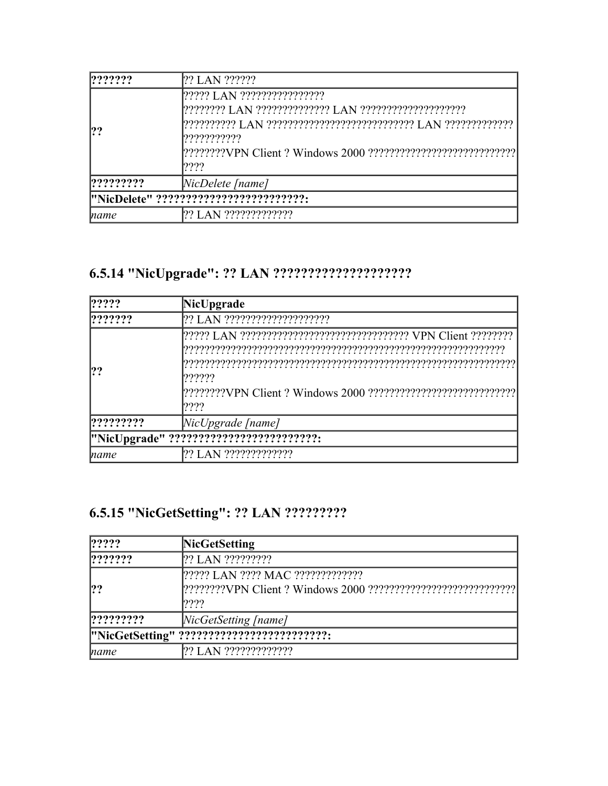| ? ? ? ? ? ?                            | ?? LAN ??????                                       |
|----------------------------------------|-----------------------------------------------------|
|                                        | 1????? LAN ?????????????????<br>???????????<br>1222 |
| ? ? ? ? ? ? ? ?                        | NicDelete [name]                                    |
| "NicDelete" ?????????????????????????? |                                                     |
| name                                   | 22 LAN 222222222222                                 |

| ? ? ? ?         | NicUpgrade                              |
|-----------------|-----------------------------------------|
| ? ? ? ? ? ?     | ?? LAN ????????????????????             |
| ??              | ??????<br> ????                         |
| ? ? ? ? ? ? ? ? | $[NicUpgrade$ [name]                    |
|                 | "NicUpgrade" ?????????????????????????? |
| name            |                                         |

# 6.5.15 "NicGetSetting": ?? LAN ?????????

| ? ? ? ?    | <b>NicGetSetting</b>                       |
|------------|--------------------------------------------|
| 1222222    | 2? LAN ??????????                          |
| ??         | [????? LAN ???? MAC ??????????????<br>1222 |
| [22222222] | NicGetSetting [name]                       |
|            | "NicGetSetting" ?????????????????????????? |
| name       | ?? LAN ?????????????                       |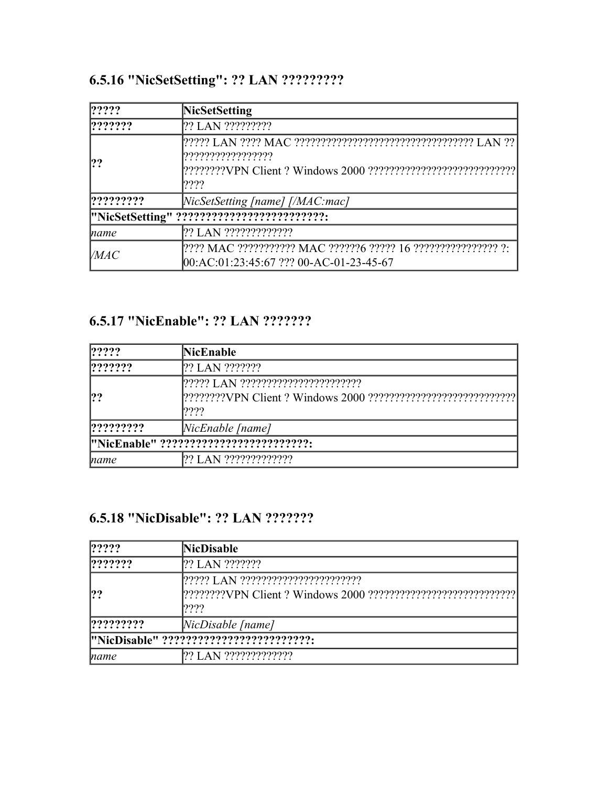# **6.5.16 "NicSetSetting": ?? LAN ?????????**

| $ ??\mathord{?}\mathord{?}$ | NicSetSetting                                                                                            |
|-----------------------------|----------------------------------------------------------------------------------------------------------|
| ? ? ? ? ? ?                 | ?? LAN ??????????                                                                                        |
| ??                          | ,,,,,,,,,,,,,,,,,,,<br>????                                                                              |
| ? ? ? ? ? ? ? ?             | NicSetSetting [name] [/MAC:mac]                                                                          |
|                             | "NicSetSetting" ??????????????????????????                                                               |
| name                        |                                                                                                          |
| $\mathcal{V}$ <i>MAC</i>    | ???? MAC ??????????? MAC ??????6 ????? 16 ???????????????? ?:<br>00:AC:01:23:45:67 ??? 00-AC-01-23-45-67 |

### **6.5.17 "NicEnable": ?? LAN ???????**

| ?????       | <b>NicEnable</b>                       |
|-------------|----------------------------------------|
| ? ? ? ? ? ? | [?? LAN ???????                        |
| ??          | ????                                   |
| ?????????   | [                                      |
|             | "NicEnable" ?????????????????????????? |
| name        | 22 LAN 222222222222                    |

### **6.5.18 "NicDisable": ?? LAN ???????**

| ?????           | <b>NicDisable</b>                        |
|-----------------|------------------------------------------|
| ? ? ? ? ? ?     | 2? LAN ???????                           |
|                 |                                          |
| ??              |                                          |
|                 | ????                                     |
| $ ?$ ?????????? | $[NaD isable]$ [name]                    |
|                 | "NicDisable" ??????????????????????????? |
| name            | 122 LAN 2222222222222                    |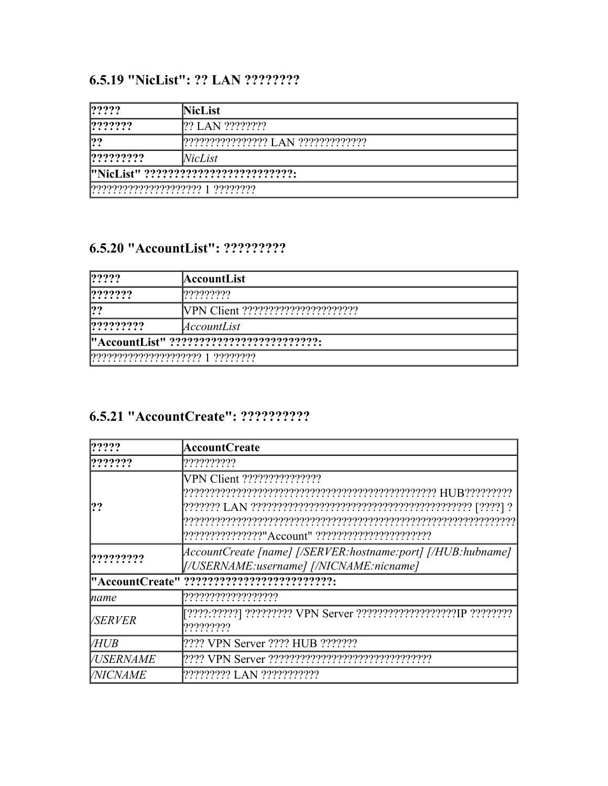### 6.5.19 "NicList": ?? LAN ????????

| ? ? ? ?                               | <b>NicList</b>                       |
|---------------------------------------|--------------------------------------|
| ? ? ? ? ? ?                           |                                      |
| ??                                    | ????????????????? LAN ?????????????? |
| $ ?$ ??????????????                   | NicList                              |
| "NicList" ??????????????????????????? |                                      |
| 777777777777777777777 1 ????????      |                                      |

### 6.5.20 "AccountList": ?????????

| ? ? ? ?                                   | AccountList |
|-------------------------------------------|-------------|
| $ ??\rangle??\rangle?$                    | ?????????   |
| ??                                        |             |
| ? ? ? ? ? ? ? ?                           | AccountList |
| "AccountList" ??????????????????????????? |             |
| $[?????????????????? 1 ????????$          |             |

### 6.5.21 "AccountCreate": ??????????

| $ ??\rangle?$           | <b>AccountCreate</b>                                                             |
|-------------------------|----------------------------------------------------------------------------------|
| ? ? ? ? ? ?             | ??????????                                                                       |
| ??                      |                                                                                  |
| ? ? ? ? ? ? ? ?         | [/USERNAME:username] [/NICNAME:nicname]                                          |
|                         | "AccountCreate" ???????????????????????????                                      |
| name                    | ,,,,,,,,,,,,,,,,,,,,                                                             |
| <i>VSERVER</i>          | [????:?????] ????????? VPN Server ?????????????????????IP ?????????<br>????????? |
| <b>VHUB</b>             | [???? VPN Server ???? HUB ???????                                                |
| <i><b>/USERNAME</b></i> |                                                                                  |
| <b>NICNAME</b>          | ????????? LAN ???????????                                                        |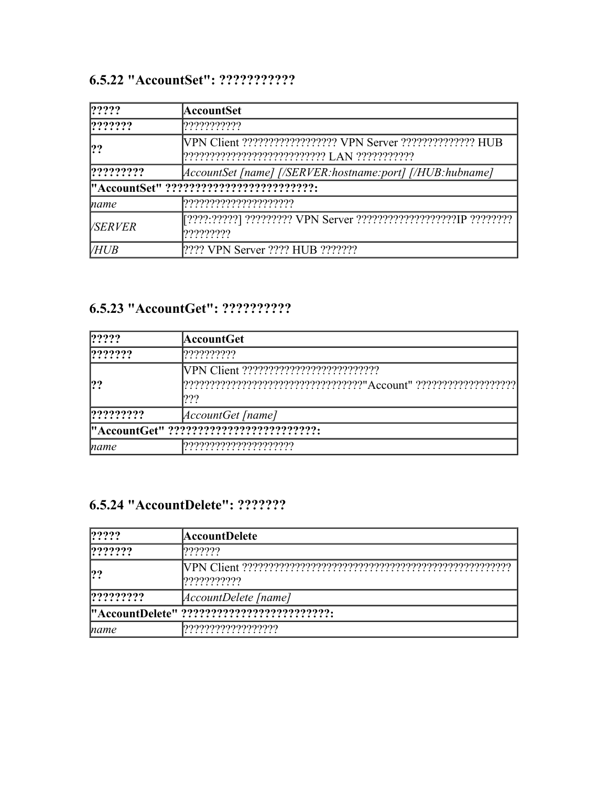# **6.5.22 "AccountSet": ???????????**

| ? ? ? ?                                 | AccountSet                                                                           |
|-----------------------------------------|--------------------------------------------------------------------------------------|
| ? ? ? ? ? ?                             | ???????????                                                                          |
|                                         | VPN Client ??????????????????? VPN Server ?????????????? HUB                         |
| ? ? ? ? ? ? ? ?                         |                                                                                      |
| "AccountSet" ?????????????????????????? |                                                                                      |
| name                                    | ,,,,,,,,,,,,,,,,,,,,,,,                                                              |
| <i>VSERVER</i>                          | [????:??????] ?????????? VPN Server ??????????????????????!P ??????????<br>????????? |
| <b>VHUB</b>                             | [???? VPN Server ???? HUB ???????                                                    |

### **6.5.23 "AccountGet": ??????????**

| ? ? ? ?         | AccountGet <br>??????????                                                               |  |  |
|-----------------|-----------------------------------------------------------------------------------------|--|--|
| ? ? ? ? ? ?     |                                                                                         |  |  |
| ?               | [???????????????????????????????????"Account" ??????????????????????????????????<br>??? |  |  |
| ? ? ? ? ? ? ? ? | $ AccountGet $ [name]                                                                   |  |  |
|                 | "AccountGet" ???????????????????????????                                                |  |  |
| name            |                                                                                         |  |  |

### **6.5.24 "AccountDelete": ???????**

| $ ??\$                                     | <b>AccountDelete</b>                |  |  |
|--------------------------------------------|-------------------------------------|--|--|
| ? ? ? ? ? ?                                | ???????                             |  |  |
| ?                                          | [???????????                        |  |  |
| ? ? ? ? ? ? ? ?                            | $ AccountDelete $ [name]            |  |  |
| "AccountDelete" ?????????????????????????? |                                     |  |  |
| name                                       | ? ? ? ? ? ? ? ? ? ? ? ? ? ? ? ? ? ? |  |  |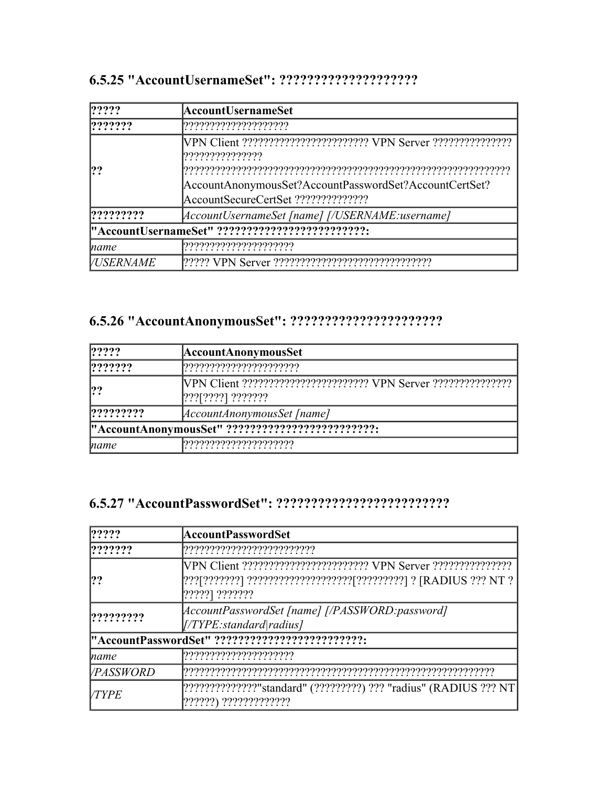| ? ? ? ?          | AccountUsernameSet                                                            |  |  |
|------------------|-------------------------------------------------------------------------------|--|--|
| ? ? ? ? ? ?      |                                                                               |  |  |
|                  | ,,,,,,,,,,,,,,,,,,,<br>AccountAnonymousSet?AccountPasswordSet?AccountCertSet? |  |  |
|                  |                                                                               |  |  |
| ? ? ? ? ? ? ? ?  | [AccountUsernameSet [name] [/USERNAME:username]                               |  |  |
|                  | "AccountUsernameSet" ??????????????????????????                               |  |  |
| name             |                                                                               |  |  |
| <i>VUSERNAME</i> |                                                                               |  |  |

### **6.5.25 "AccountUsernameSet": ????????????????????**

# **6.5.26 "AccountAnonymousSet": ??????????????????????**

| ? ? ? ?                                          | <b>AccountAnonymousSet</b> |  |  |  |
|--------------------------------------------------|----------------------------|--|--|--|
| ? ? ? ? ? ?                                      |                            |  |  |  |
| ??                                               | $[???]$ ????] ???????      |  |  |  |
| ? ? ? ? ? ? ? ?                                  | AccountAnonymousSet   name |  |  |  |
| "AccountAnonymousSet" ?????????????????????????? |                            |  |  |  |
| name                                             | ?????????????????????      |  |  |  |

# **6.5.27 "AccountPasswordSet": ?????????????????????????**

| ?????                                                                                                       | AccountPasswordSet                                                           |  |  |
|-------------------------------------------------------------------------------------------------------------|------------------------------------------------------------------------------|--|--|
| ? ? ? ? ? ?                                                                                                 |                                                                              |  |  |
| ??                                                                                                          | $[?????)$ $??????$                                                           |  |  |
| ? ? ? ? ? ? ? ?                                                                                             | [AccountPasswordSet [name] [/PASSWORD:password]<br> /TYPE: standard   radius |  |  |
|                                                                                                             | "AccountPasswordSet" ???????????????????????????                             |  |  |
| name                                                                                                        |                                                                              |  |  |
| <i>VPASSWORD</i>                                                                                            |                                                                              |  |  |
| [???????????????"standard" (?????????) ??? "radius" (RADIUS ??? NT<br><b>VTYPE</b><br>??????) ????????????? |                                                                              |  |  |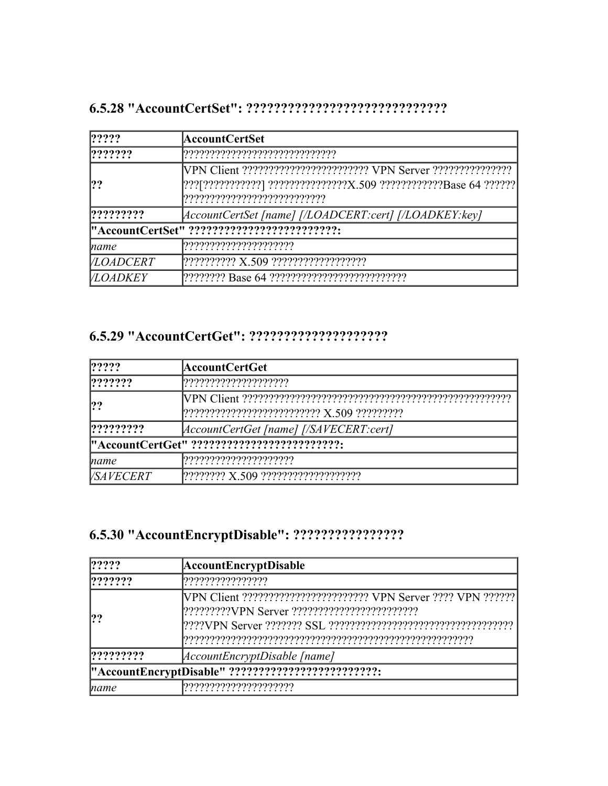### **6.5.28 "AccountCertSet": ?????????????????????????????**

| ? ? ? ?          | AccountCertSet<br>,,,,,,,,,,,,,,,,,,,,,,,,,,,,,,,,              |  |  |  |
|------------------|-----------------------------------------------------------------|--|--|--|
| ? ? ? ? ? ?      |                                                                 |  |  |  |
| ??               | [???[???????????] ??????????????X.509 ???????????Base 64 ?????? |  |  |  |
| ? ? ? ? ? ? ? ?  | [AccountCertSet [name] [/LOADCERT:cert] [/LOADKEY:kev]          |  |  |  |
|                  | "AccountCertSet" ???????????????????????????                    |  |  |  |
| name             |                                                                 |  |  |  |
| <b>VLOADCERT</b> |                                                                 |  |  |  |
| <i>VLOADKEY</i>  |                                                                 |  |  |  |

### **6.5.29 "AccountCertGet": ????????????????????**

| 1????            | AccountCertGet                              |  |  |
|------------------|---------------------------------------------|--|--|
| ???????          |                                             |  |  |
|                  |                                             |  |  |
| ? ? ? ? ? ? ? ?  | [AccountCertGet [name] [/SAVECERT:cert]     |  |  |
|                  | "AccountCertGet" ?????????????????????????? |  |  |
| name             | ,,,,,,,,,,,,,,,,,,,,,,,                     |  |  |
| <i>VSAVECERT</i> |                                             |  |  |

# **6.5.30 "AccountEncryptDisable": ????????????????**

| ? ? ? ?                                                                 | <b>AccountEncryptDisable</b>      |  |  |
|-------------------------------------------------------------------------|-----------------------------------|--|--|
| ? ? ? ? ? ?                                                             | ?????????????????                 |  |  |
| [VPN Client ????????????????????????? VPN Server ???? VPN ??????<br> ?? |                                   |  |  |
| ? ? ? ? ? ? ? ?                                                         | AccountEncryptionptDisable   name |  |  |
| "AccountEncryptDisable" ??????????????????????????                      |                                   |  |  |
| name                                                                    |                                   |  |  |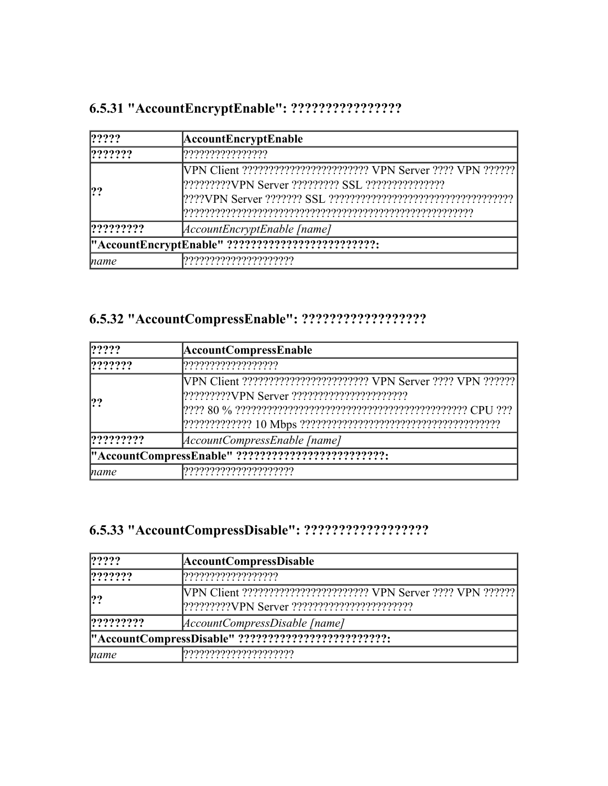# **6.5.31 "AccountEncryptEnable": ????????????????**

| ? ? ? ?                                                          | AccountEncryptEnable<br>????????????????          |  |  |
|------------------------------------------------------------------|---------------------------------------------------|--|--|
| ? ? ? ? ? ?                                                      |                                                   |  |  |
| [VPN Client ????????????????????????? VPN Server ???? VPN ?????? |                                                   |  |  |
| ? ? ? ? ? ? ? ?                                                  | AccountEncryptEnable [name]                       |  |  |
|                                                                  | "AccountEncryptEnable" ?????????????????????????? |  |  |
| name                                                             | ,,,,,,,,,,,,,,,,,,,,,,,,                          |  |  |

# **6.5.32 "AccountCompressEnable": ??????????????????**

| ? ? ? ?                                                                   | <b>AccountCompressEnable</b> |  |  |
|---------------------------------------------------------------------------|------------------------------|--|--|
| ? ? ? ? ? ?                                                               |                              |  |  |
| [VPN Client ?????????????????????????? VPN Server ???? VPN ??????]<br> ?? |                              |  |  |
| ? ? ? ? ? ? ? ?                                                           | AccountCompressEnable [name] |  |  |
| "AccountCompressEnable" ??????????????????????????                        |                              |  |  |
| name                                                                      |                              |  |  |

# **6.5.33 "AccountCompressDisable": ??????????????????**

| ? ? ? ?                                             | <b>AccountCompressDisable</b>                                     |  |  |  |
|-----------------------------------------------------|-------------------------------------------------------------------|--|--|--|
| ? ? ? ? ? ?                                         |                                                                   |  |  |  |
| ?                                                   | [VPN Client ????????????????????????? VPN Server ???? VPN ??????] |  |  |  |
| 22222222                                            | AccountCompressDisable   name                                     |  |  |  |
| "AccountCompressDisable" ?????????????????????????? |                                                                   |  |  |  |
| name                                                | ,,,,,,,,,,,,,,,,,,,,,,,,                                          |  |  |  |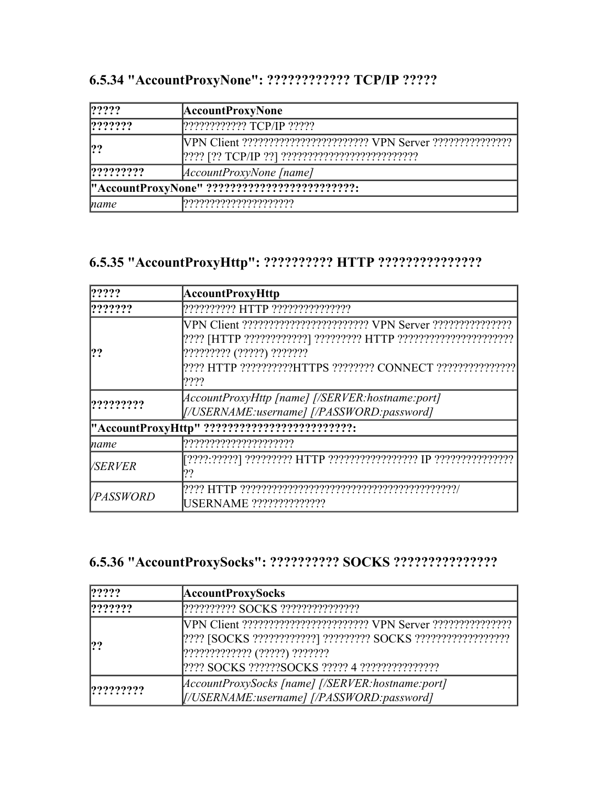| ? ? ? ?                                       | <b>AccountProxyNone</b>         |
|-----------------------------------------------|---------------------------------|
| ? ? ? ? ? ?                                   | 2???????????????? TCP/IP ?????? |
| ?                                             |                                 |
| ? ? ? ? ? ? ? ?                               | [AccountProxyNone [name]        |
| "AccountProxyNone" ?????????????????????????? |                                 |
| name                                          |                                 |

# **6.5.35 "AccountProxyHttp": ?????????? HTTP ???????????????**

| ? ? ? ?          | <b>AccountProxyHttp</b>                                                                          |
|------------------|--------------------------------------------------------------------------------------------------|
| ???????          |                                                                                                  |
| !??              | ????????? (?????) ???????<br>???? HTTP ??????????HTTPS ???????? CONNECT ????????????????<br>???? |
| ? ? ? ? ? ? ? ?  | [AccountProxyHttp [name] [/SERVER:hostname:port]<br>[/USERNAME:username] [/PASSWORD:password]    |
|                  | "AccountProxyHttp" ??????????????????????????                                                    |
| name             |                                                                                                  |
| <i>VSERVER</i>   | ??                                                                                               |
| <i>VPASSWORD</i> | USERNAME ??????????????                                                                          |

# **6.5.36 "AccountProxySocks": ?????????? SOCKS ???????????????**

| ? ? ? ?     | <b>AccountProxySocks</b>                                                                       |
|-------------|------------------------------------------------------------------------------------------------|
| ? ? ? ? ? ? |                                                                                                |
| 22          | ????????????? (?????) ???????                                                                  |
| 22222222    | [AccountProxySocks [name] [/SERVER:hostname:port]<br>[/USERNAME:username] [/PASSWORD:password] |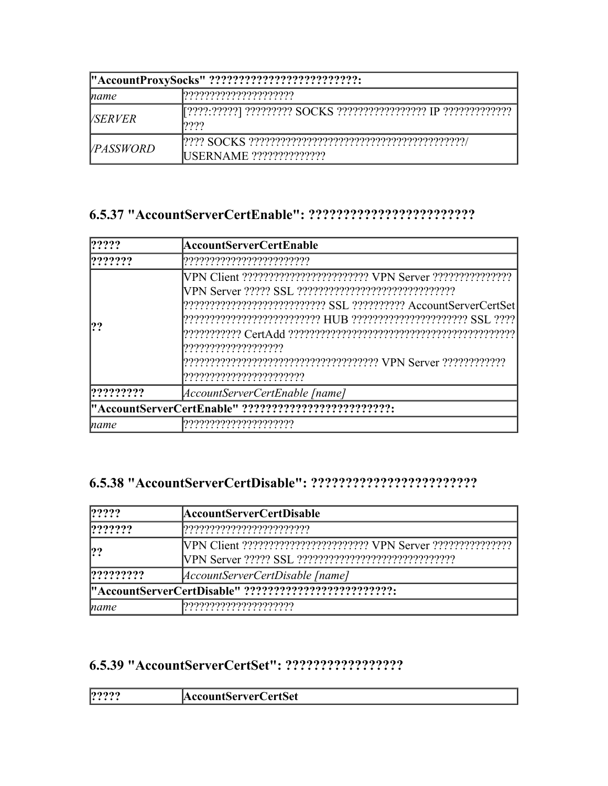| "AccountProxySocks" ?????????????????????????? |                          |
|------------------------------------------------|--------------------------|
| name                                           | ,,,,,,,,,,,,,,,,,,,,,,,, |
| <i>VSERVER</i>                                 | 7777                     |
| <i>VPASSWORD</i>                               | USERNAME ??????????????  |

### **6.5.37 "AccountServerCertEnable": ????????????????????????**

| ? ? ? ?     | AccountServerCertEnable                               |
|-------------|-------------------------------------------------------|
| ? ? ? ? ? ? |                                                       |
| ??          | ,,,,,,,,,,,,,,,,,,,,,,,<br>????????????????????????   |
| ?????????   | AccountServerCertEnable [name]                        |
|             | "AccountServerCertEnable" ??????????????????????????? |
| name        |                                                       |

#### **6.5.38 "AccountServerCertDisable": ????????????????????????**

| $ ??\rangle?$                                         | AccountServerCertDisable        |
|-------------------------------------------------------|---------------------------------|
| ? ? ? ? ? ?                                           | ,,,,,,,,,,,,,,,,,,,,,,,,,,,,    |
| ?                                                     |                                 |
| ?????????                                             | AccountServerCertDisable [name] |
| "AccountServerCertDisable" ?????????????????????????? |                                 |
| name                                                  |                                 |

# **6.5.39 "AccountServerCertSet": ?????????????????**

| $- - - - - - - - 1$ | 9999 | 'ertSet |
|---------------------|------|---------|
| ⊶                   | . .  | $-$     |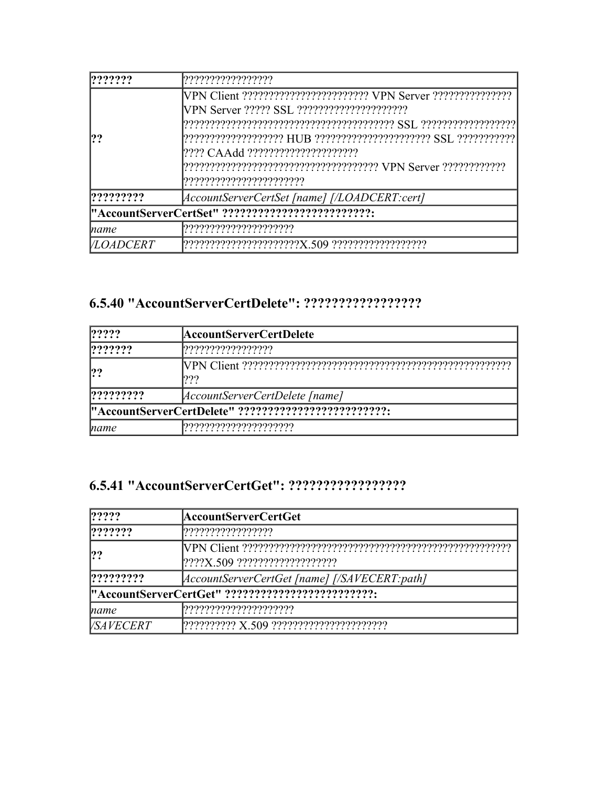| ? ? ? ? ? ?                                       | ,,,,,,,,,,,,,,,,,,,,                          |
|---------------------------------------------------|-----------------------------------------------|
|                                                   |                                               |
|                                                   |                                               |
|                                                   |                                               |
| ??                                                |                                               |
|                                                   |                                               |
|                                                   |                                               |
|                                                   | ,,,,,,,,,,,,,,,,,,,,,,,,,                     |
| ? ? ? ? ? ? ? ?                                   | [AccountServerCertSet [name] [/LOADCERT:cert] |
| "AccountServerCertSet" ?????????????????????????? |                                               |
| name                                              |                                               |
| <i>VLOADCERT</i>                                  |                                               |

### **6.5.40 "AccountServerCertDelete": ?????????????????**

| $ ??\rangle?$                                         | AccountServerCertDelete         |
|-------------------------------------------------------|---------------------------------|
| 222222                                                |                                 |
| ??                                                    | ???                             |
| ? ? ? ? ? ? ? ?                                       | [AccountServerCertDelete [name] |
| "AccountServerCertDelete" ??????????????????????????? |                                 |
| name                                                  |                                 |

### **6.5.41 "AccountServerCertGet": ?????????????????**

| $ ??\$                                            | AccountServerCertGet                             |
|---------------------------------------------------|--------------------------------------------------|
| 222222                                            | ????????????????                                 |
| 22                                                | $ ? ? ? X.509 ? ? ? ? ? ? ? ? ? ? ? ? ? ? ? ? ?$ |
| ? ? ? ? ? ? ? ?                                   | [AccountServerCertGet [name] [/SAVECERT:path]    |
| "AccountServerCertGet" ?????????????????????????? |                                                  |
| name                                              | ,,,,,,,,,,,,,,,,,,,,,,,,                         |
| <i>VSAVECERT</i>                                  | $[??????????Z.S09?????????????????????????????$  |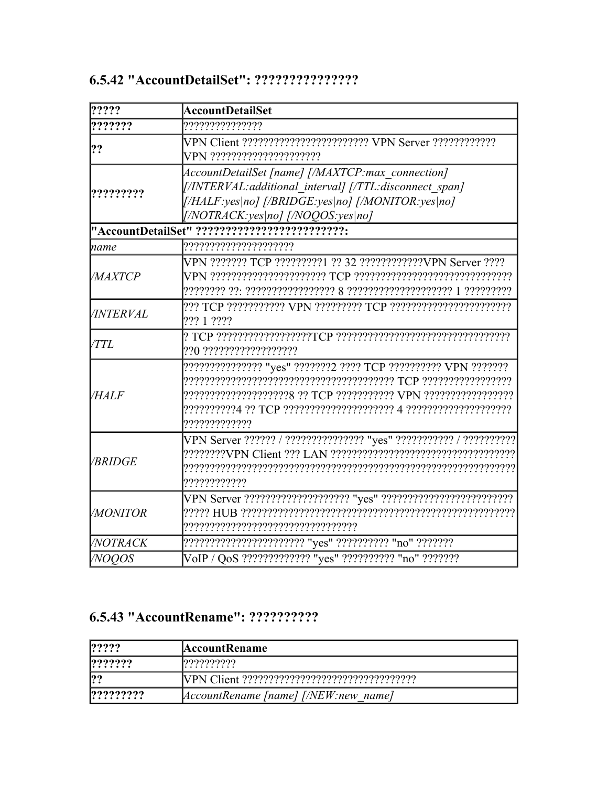| ?????            | <b>AccountDetailSet</b>                                                                                                                                                                                    |
|------------------|------------------------------------------------------------------------------------------------------------------------------------------------------------------------------------------------------------|
| ???????          | ????????????????                                                                                                                                                                                           |
| ??               | VPN ??????????????????????                                                                                                                                                                                 |
|                  | AccountDetailSet [name] [/MAXTCP:max connection]<br>[/INTERVAL: additional interval] [/TTL: disconnect span]<br>[/HALF:yes no] [/BRIDGE:yes no] [/MONITOR:yes no]<br>$[/NOTRACK:yes no]$ $[/NOQOS:yes no]$ |
|                  | "AccountDetailSet" ??????????????????????????                                                                                                                                                              |
| name             | ,,,,,,,,,,,,,,,,,,,,,,,                                                                                                                                                                                    |
| <b>MAXTCP</b>    | VPN ??????? TCP ?????????1 ?? 32 ????????????VPN Server ????                                                                                                                                               |
| <i>VINTERVAL</i> | ??? 1 ????                                                                                                                                                                                                 |
| <b>TTL</b>       | 220 222222222222222222                                                                                                                                                                                     |
| <i>VHALF</i>     | ??????????????? "yes" ???????2 ???? TCP ?????????? VPN ????????<br>?????????????                                                                                                                           |
| <b>/BRIDGE</b>   | VPN Server ?????? / ??????????????? "yes" ??????????? / ???????????<br>7???????????                                                                                                                        |
| <i>VMONITOR</i>  | ,,,,,,,,,,,,,,,,,,,,,,,,,,,,,,,,,,,,                                                                                                                                                                       |
| <i>NOTRACK</i>   | ???????????????????????? "yes" ?????????? "no" ????????                                                                                                                                                    |
| <b>NOQOS</b>     | VoIP / QoS ????????????? "yes" ?????????? "no" ????????                                                                                                                                                    |

### 6.5.43 "AccountRename": ??????????

| ? ? ? ?     | <b>AccountRename</b>                       |
|-------------|--------------------------------------------|
| ? ? ? ? ? ? | 1999999999                                 |
| 22          |                                            |
| 122222222   | $ AccountRemark$ [name] $ /NEW$ :new name] |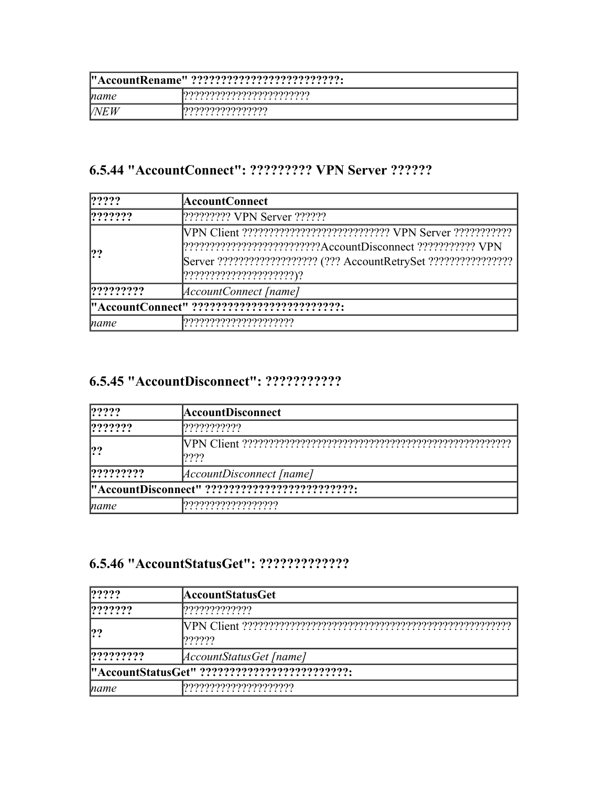| "AccountRename" ?????????????????????????? |                                 |
|--------------------------------------------|---------------------------------|
| name                                       | <u>.</u> იიიიიიიიიიიიიიიიიიიიიი |
| <b>NEW</b>                                 | <u>ეეეეეეეეეეეეეეე</u>          |

### **6.5.44 "AccountConnect": ????????? VPN Server ??????**

| ? ? ? ?         | AccountConnect                                                                                                                                                       |
|-----------------|----------------------------------------------------------------------------------------------------------------------------------------------------------------------|
| 222222          | [????????? VPN Server ??????                                                                                                                                         |
| ??              | [????????????????????????????AccountDisconnect ??????????? VPN<br>Server ???????????????????? (??? AccountRetrySet ????????????????  <br>[?????????????????????????) |
| ? ? ? ? ? ? ? ? | AccountConnect [name]                                                                                                                                                |
|                 | "AccountConnect" ??????????????????????????                                                                                                                          |
| name            |                                                                                                                                                                      |

# **6.5.45 "AccountDisconnect": ???????????**

| ? ? ? ?         | <b>AccountDisconnect</b>                       |  |
|-----------------|------------------------------------------------|--|
| ? ? ? ? ? ?     | ???????????                                    |  |
| ??              | ????                                           |  |
| ? ? ? ? ? ? ? ? | <i>AccountDisconnect [name]</i>                |  |
|                 | "AccountDisconnect" ?????????????????????????? |  |
| name            |                                                |  |

### **6.5.46 "AccountStatusGet": ?????????????**

| ? ? ? ?         | AccountStatusGet                              |
|-----------------|-----------------------------------------------|
| ? ? ? ? ? ?     | ,,,,,,,,,,,,,,,                               |
| ?               | ??????                                        |
| ? ? ? ? ? ? ? ? | AccountStatusGet [name]                       |
|                 | "AccountStatusGet" ?????????????????????????? |
| name            | ,,,,,,,,,,,,,,,,,,,,,,                        |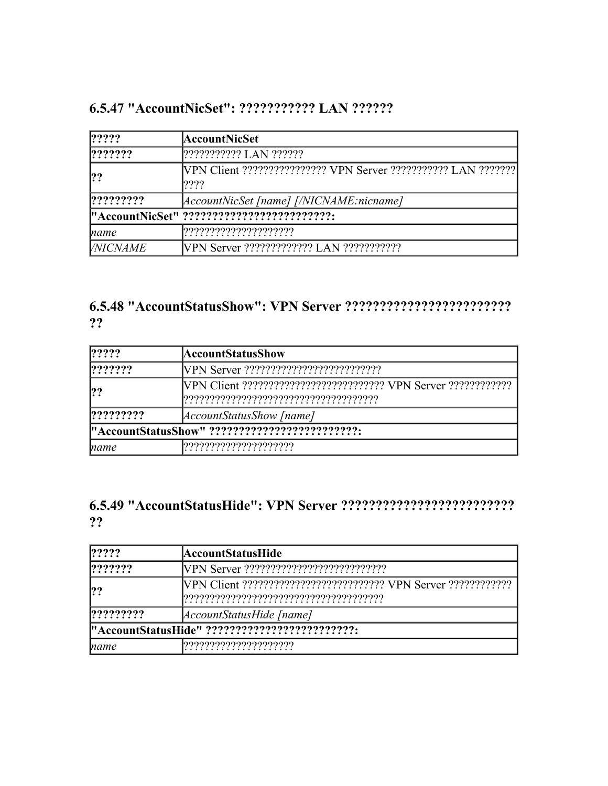|  | 6.5.47 "AccountNicSet": ??????????? LAN ?????? |
|--|------------------------------------------------|
|  |                                                |

| ? ? ? ?         | AccountNicSet                                                              |
|-----------------|----------------------------------------------------------------------------|
| ? ? ? ? ? ?     |                                                                            |
| ??              | [VPN Client ????????????????? VPN Server ??????????? LAN ????????<br>????! |
| ? ? ? ? ? ? ? ? | [AccountNicSet [name] [/NICNAME:nicname]                                   |
|                 | "AccountNicSet" ??????????????????????????                                 |
| mame            | ,,,,,,,,,,,,,,,,,,,,,,,,                                                   |
| <i>VNICNAME</i> | <b>NPN Server</b> ????????????? LAN ????????????                           |

### **6.5.48 "AccountStatusShow": VPN Server ???????????????????????? ??**

| ? ? ? ?         | AccountStatusShow                              |  |
|-----------------|------------------------------------------------|--|
| $ ??\, ??\, ?$  |                                                |  |
| ?               |                                                |  |
| ? ? ? ? ? ? ? ? | <i>AccountStatusShow [name]</i>                |  |
|                 | "AccountStatusShow" ?????????????????????????? |  |
| name            | ,,,,,,,,,,,,,,,,,,,,,,,                        |  |

### **6.5.49 "AccountStatusHide": VPN Server ????????????????????????? ??**

| ?????    | AccountStatusHide                             |
|----------|-----------------------------------------------|
| ???????  |                                               |
| ??       |                                               |
| ???????? | AccountStatusHide [name]                      |
|          | "AccountStatusHide" ????????????????????????? |
| mame     | ,,,,,,,,,,,,,,,,,,,,,,,,                      |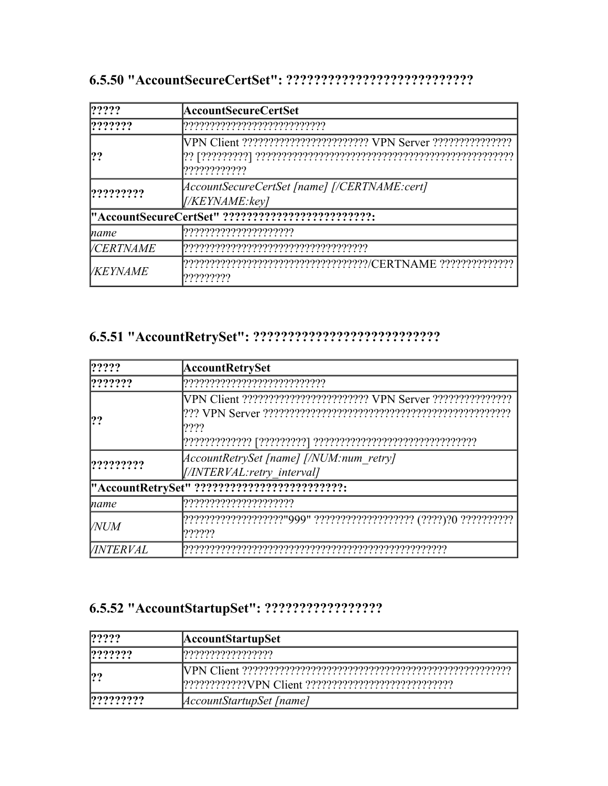| ? ? ? ?                 | AccountSecureCertSet                                                                            |
|-------------------------|-------------------------------------------------------------------------------------------------|
| ? ? ? ? ? ?             |                                                                                                 |
| ??                      | ?????????????                                                                                   |
| ? ? ? ? ? ? ? ?         | [AccountSecureCertSet [name] [/CERTNAME:cert]<br>[/KEYNAME:key]                                 |
|                         | "AccountSecureCertSet" ??????????????????????????                                               |
| name                    |                                                                                                 |
| <i><b>VCERTNAME</b></i> |                                                                                                 |
| <i>VKEYNAME</i>         | ????????????????????????????????????//CERTNAME ??????????????????????????????????<br>?????????? |

# 

| ? ? ? ?          | AccountRetrySet                              |
|------------------|----------------------------------------------|
| ? ? ? ? ? ?      |                                              |
|                  |                                              |
| !??              |                                              |
|                  | ????                                         |
|                  |                                              |
| ? ? ? ? ? ? ? ?  | AccountRetrySet [name] [/NUM:num retry]      |
|                  | [//INTERVAL:retry interval]                  |
|                  | "AccountRetrySet" ?????????????????????????? |
| name             |                                              |
| <b>NUM</b>       |                                              |
|                  | ??????                                       |
| <b>VINTERVAL</b> |                                              |

| ? ? ? ?        | <b>AccountStartupSet</b>        |
|----------------|---------------------------------|
| $ ??\, ??\, ?$ | ,,,,,,,,,,,,,,,,,,,,            |
| ??             |                                 |
| 122222222      | <i>AccountStartupSet [name]</i> |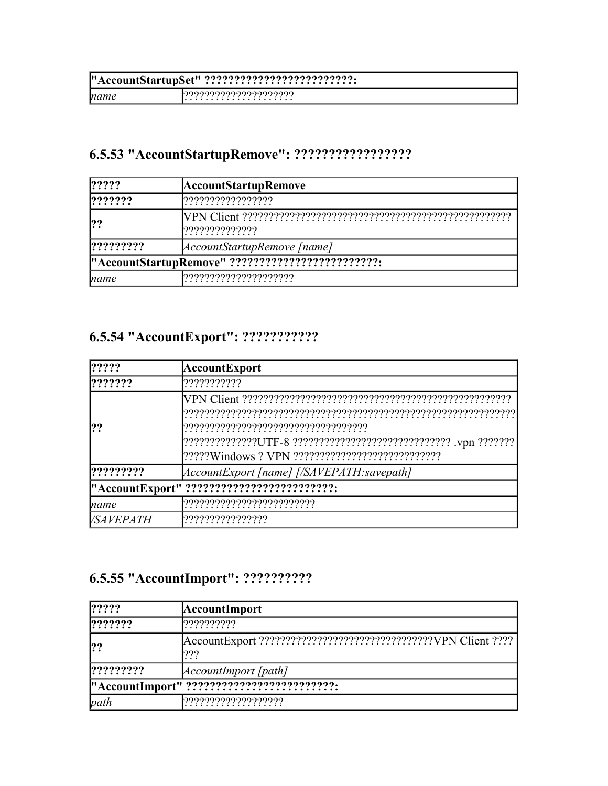| mame | <u>იიიიიიიიიიიიიიიი</u><br>. |
|------|------------------------------|

# **6.5.53 "AccountStartupRemove": ?????????????????**

| ? ? ? ?         | <b>AccountStartupRemove</b>                       |
|-----------------|---------------------------------------------------|
| ? ? ? ? ? ?     |                                                   |
| ?               | ,,,,,,,,,,,,,,,,,                                 |
| ? ? ? ? ? ? ? ? | [AccountStartupRemove [name]                      |
|                 | "AccountStartupRemove" ?????????????????????????? |
| name            |                                                   |

# **6.5.54 "AccountExport": ???????????**

| 1?????           | AccountExport                                                     |
|------------------|-------------------------------------------------------------------|
| ? ? ? ? ? ?      | ????????????                                                      |
|                  |                                                                   |
|                  |                                                                   |
|                  |                                                                   |
|                  | ???????????????UTF-8 ?????????????????????????????? .vpn ???????? |
|                  |                                                                   |
| ? ? ? ? ? ? ? ?  | AccountExport [name] [/SAVEPATH:savepath]                         |
|                  | "AccountExport" ??????????????????????????                        |
| <i>name</i>      |                                                                   |
| <i>VSAVEPATH</i> |                                                                   |

# **6.5.55 "AccountImport": ??????????**

| ? ? ? ?                                    | <b>AccountImport</b>        |
|--------------------------------------------|-----------------------------|
| ? ? ? ? ? ?                                | ?????????                   |
| ?                                          | 222                         |
| ? ? ? ? ? ? ? ?                            | <i>AccountImport [path]</i> |
| "AccountImport" ?????????????????????????? |                             |
| path                                       |                             |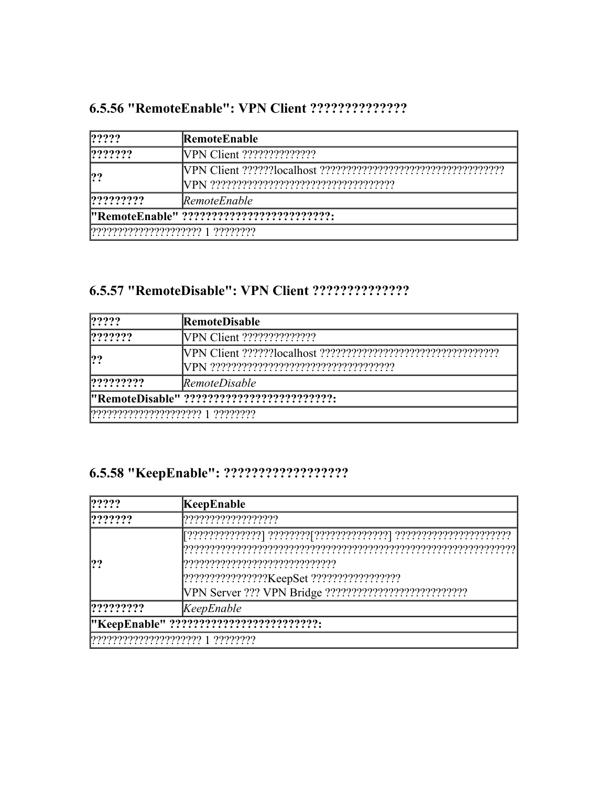| ? ? ? ?                                   | <b>RemoteEnable</b>              |
|-------------------------------------------|----------------------------------|
| ? ? ? ? ? ?                               |                                  |
|                                           |                                  |
| 22222222                                  | <i>RemoteEnable</i>              |
| "RemoteEnable" ?????????????????????????? |                                  |
|                                           | ????????????????????? 1 ???????? |

### 

| ? ? ? ?                                    | <b>RemoteDisable</b> |
|--------------------------------------------|----------------------|
| ? ? ? ? ? ?                                |                      |
| ??                                         |                      |
| 22222222                                   | <i>RemoteDisable</i> |
| "RemoteDisable" ?????????????????????????? |                      |
|                                            |                      |

| ?????           | KeepEnable                              |
|-----------------|-----------------------------------------|
| ? ? ? ? ? ?     | ???????????????????                     |
|                 |                                         |
| ? ? ? ? ? ? ? ? | [KeepEnable]                            |
|                 | "KeepEnable" ?????????????????????????? |
|                 |                                         |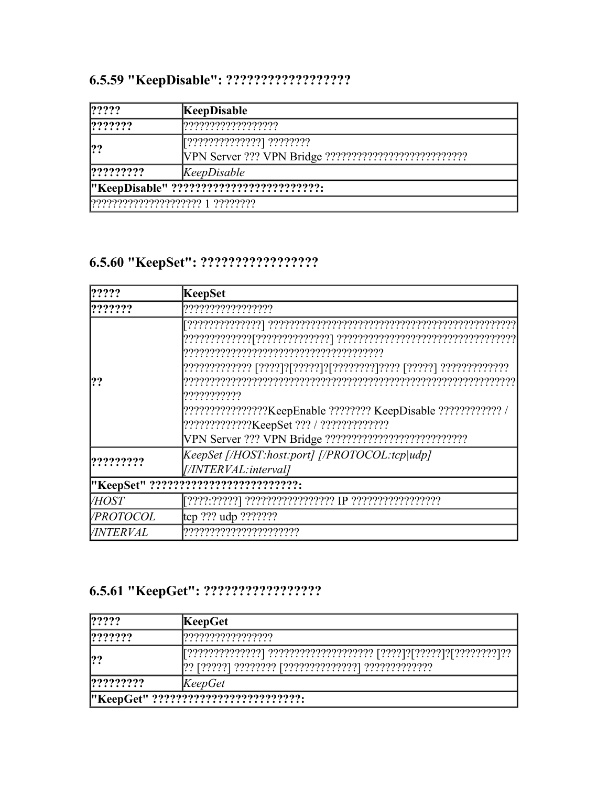| $ ??\rangle?$    | KeepDisable                              |
|------------------|------------------------------------------|
| ? ? ? ? ? ?      |                                          |
| ??               | ??????????????? ????????                 |
|                  |                                          |
| $ ?$ ??????????? | [Keep Disable]                           |
|                  | "KeepDisable" ?????????????????????????? |
|                  |                                          |

# 

| ? ? ? ?          | KeepSet                                                                           |
|------------------|-----------------------------------------------------------------------------------|
| ? ? ? ? ? ?      | ??????????????????                                                                |
|                  |                                                                                   |
|                  |                                                                                   |
|                  |                                                                                   |
| ??               |                                                                                   |
|                  | ???????????                                                                       |
|                  | [??????????????????KeepEnable ???????? KeepDisable ?????????????????????????????? |
|                  |                                                                                   |
|                  |                                                                                   |
| ?????????        | KeepSet [/HOST:host:port] [/PROTOCOL:tcp udp]                                     |
|                  | [//INTERVAL:interval]                                                             |
|                  | "KeepSet" ??????????????????????????                                              |
| <b>VHOST</b>     |                                                                                   |
| <i>VPROTOCOL</i> | $[top ?$ ?? udp ????????                                                          |
| <i>VINTERVAL</i> |                                                                                   |

| ? ? ? ?                              | <b>KeepGet</b> |
|--------------------------------------|----------------|
| ? ? ? ? ? ?                          |                |
| ??                                   |                |
| ? ? ? ? ? ? ? ?                      | [KeepGet]      |
| "KeepGet" ?????????????????????????? |                |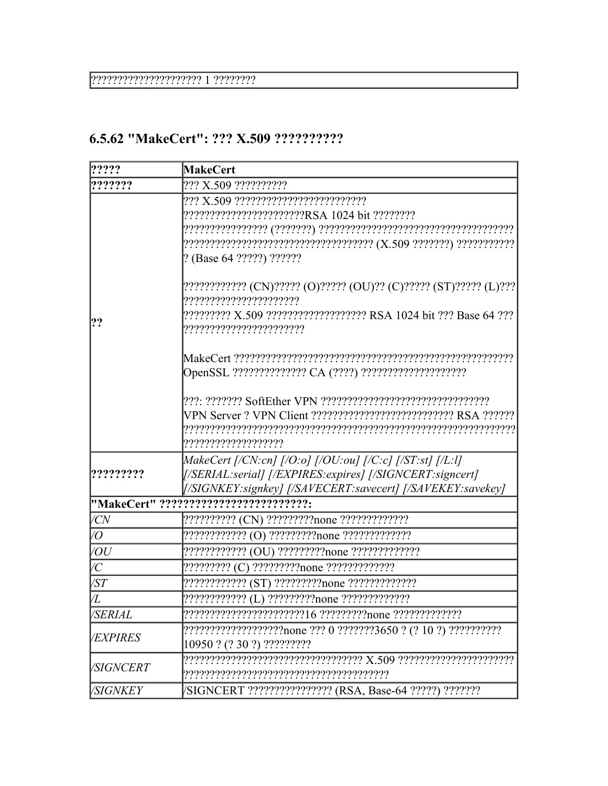7????????????????????? 1 ?????????

### 6.5.62 "MakeCert": ??? X.509 ??????????

| ?????                 | <b>MakeCert</b>                                                   |
|-----------------------|-------------------------------------------------------------------|
| ???????               | ??? X.509 ??????????                                              |
|                       |                                                                   |
|                       | ???????????????????????RSA 1024 bit ?????????                     |
|                       |                                                                   |
|                       |                                                                   |
|                       | ? (Base 64 ?????) ??????                                          |
|                       | ????????????? (CN)????? (O)????? (OU)?? (C)????? (ST)????? (L)??? |
|                       | ??????????????????????                                            |
| ??                    | ????????? X.509 ??????????????????? RSA 1024 bit ??? Base 64 ???  |
|                       | ???????????????????????                                           |
|                       |                                                                   |
|                       |                                                                   |
|                       |                                                                   |
|                       | VPN Server ? VPN Client ???????????????????????????? RSA ??????   |
|                       |                                                                   |
|                       | ????????????????????                                              |
|                       | MakeCert [/CN:cn] [/O:o] [/OU:ou] [/C:c] [/ST:st] [/L:l]          |
| ,,,,,,,,,             | [/SERIAL:serial] [/EXPIRES: expires] [/SIGNCERT: signcert]        |
|                       | [/SIGNKEY:signkey] [/SAVECERT:savecert] [/SAVEKEY:savekey]        |
|                       | "MakeCert" ??????????????????????????                             |
| <b>VCN</b>            | ?????????? (CN) ?????????none ?????????????                       |
| /0                    | ???????????? (O) ?????????none ?????????????                      |
| $\sqrt{OU}$           | ????????????? (OU) ?????????none ??????????????                   |
| $\overline{C}$        |                                                                   |
| $\sqrt{ST}$           | ???????????? (ST) ?????????none ?????????????                     |
| VL                    | ???????????? (L) ?????????none ?????????????                      |
| <i><b>VSERIAL</b></i> |                                                                   |
| <b>VEXPIRES</b>       |                                                                   |
|                       | 10950 ? (? 30 ?) ?????????                                        |
|                       |                                                                   |
| <b>SIGNCERT</b>       |                                                                   |
| /SIGNKEY              | /SIGNCERT ????????????????? (RSA, Base-64 ?????) ???????          |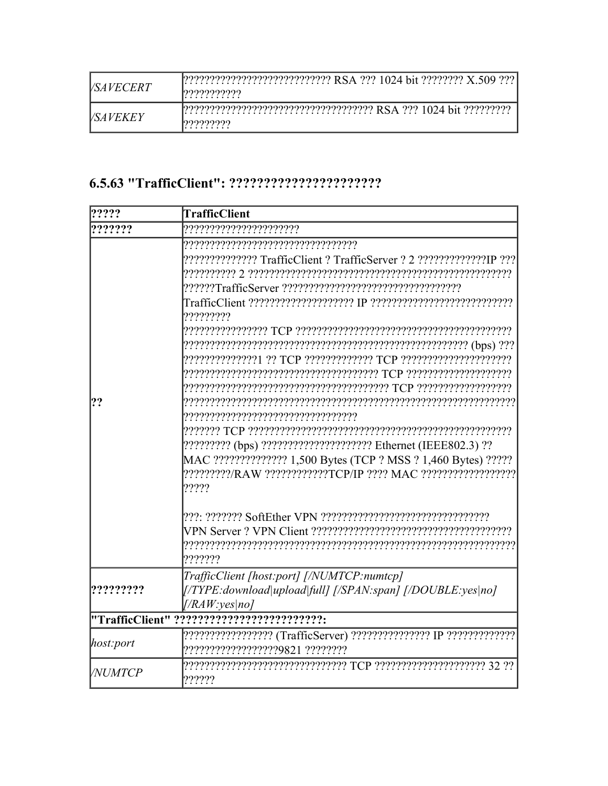| <i>VSAVECERT</i> | ????????????????????????????? RSA ??? 1024 bit ???????? X.509 ???  <br>l99999999999 |
|------------------|-------------------------------------------------------------------------------------|
| <i>VSAVEKEY</i>  | 1222222222222222222222222222222222222 RSA 222 1024 bit 222222222                    |

| ?????         | <b>TrafficClient</b>                                                                                      |
|---------------|-----------------------------------------------------------------------------------------------------------|
| ???????       | ???????????????????????                                                                                   |
|               |                                                                                                           |
|               |                                                                                                           |
|               |                                                                                                           |
|               | 77777777                                                                                                  |
|               | POPREPREPREPREPREPREPREPREPREPREPREPRE PREPREPREPREPREPRE                                                 |
|               |                                                                                                           |
|               |                                                                                                           |
|               |                                                                                                           |
|               |                                                                                                           |
| ??            |                                                                                                           |
|               |                                                                                                           |
|               | ????????? (bps) ????????????????????? Ethernet (IEEE802.3) ??                                             |
|               | MAC ?????????????? 1,500 Bytes (TCP ? MSS ? 1,460 Bytes) ?????                                            |
|               | 2222222227978 AW 22222222277777779 2022 MAC 222222222222222<br>?????                                      |
|               |                                                                                                           |
|               |                                                                                                           |
|               | ???????                                                                                                   |
|               | TrafficClient [host:port] [/NUMTCP:numtcp]                                                                |
|               | [/TYPE:download upload full] [/SPAN:span] [/DOUBLE:yes no]                                                |
|               | [/RAW:ves no]                                                                                             |
|               | "TrafficClient" ??????????????????????????                                                                |
| host:port     | ??????????????????? (TrafficServer) ??????????????? IP ???????????????<br>??????????????????9821 ???????? |
| <i>NUMTCP</i> | ??????                                                                                                    |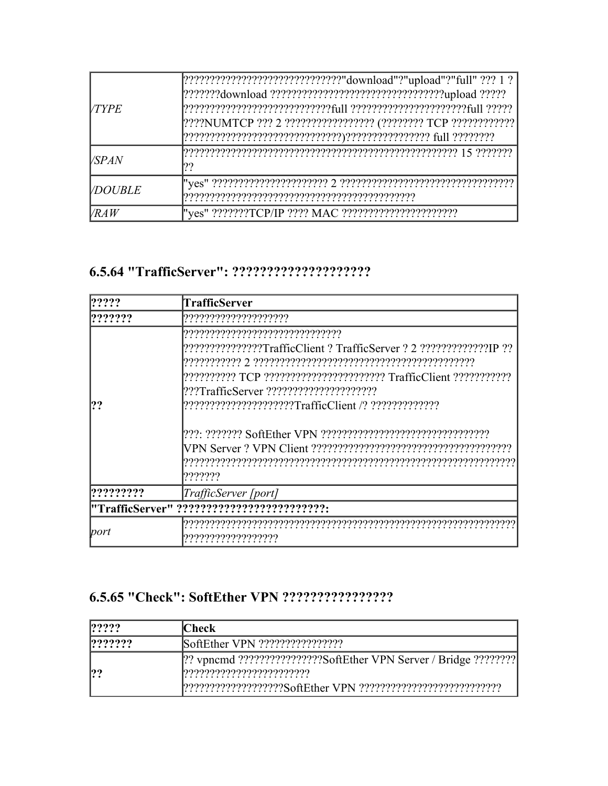| <b>VTYPE</b>   | [????????????????????????????????"download"?"upload"?"full" ??? 1 ?<br>[???????download ???????????????????????????????????upload ?????<br>[????NUMTCP ??? 2 ?????????????????? (???????? TCP ????????????? |
|----------------|-------------------------------------------------------------------------------------------------------------------------------------------------------------------------------------------------------------|
| <i>VSPAN</i>   | 77                                                                                                                                                                                                          |
| <b>VDOUBLE</b> |                                                                                                                                                                                                             |
| <b>VRAW</b>    | "yes" ???????TCP/IP ???? MAC ????????????????????????                                                                                                                                                       |

| ?????     | <b>TrafficServer</b>                                                                                                                                                                     |
|-----------|------------------------------------------------------------------------------------------------------------------------------------------------------------------------------------------|
| ???????   | ?????????????????????                                                                                                                                                                    |
| !??       | ,,,,,,,,,,,,,,,,,,,,,,,,,,,,,,,,,,<br>????????????????TrafficClient ? TrafficServer ? 2 ??????????????!P ??<br>222: 22222222 SoftEther VPN 2222222222222222222222222222222222<br>??????? |
| ????????? | TrafficServer [port]                                                                                                                                                                     |
|           | "TrafficServer" ??????????????????????????                                                                                                                                               |
| port      | ???????????????????                                                                                                                                                                      |

| ? ? ? ?     | <b>Check</b>                                                         |
|-------------|----------------------------------------------------------------------|
| ? ? ? ? ? ? |                                                                      |
| ??          | [?? vpncmd ??????????????????SoftEther VPN Server / Bridge ????????? |
|             |                                                                      |